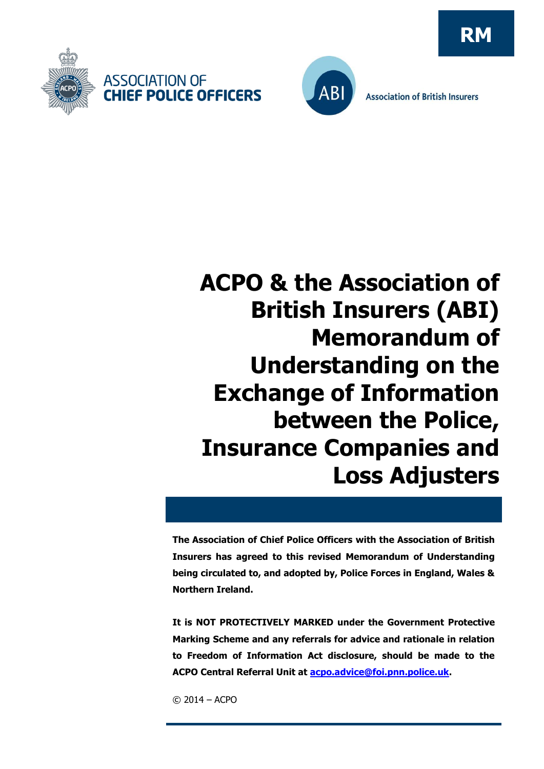



**Association of British Insurers** 

# **ACPO & the Association of British Insurers (ABI) Memorandum of Understanding on the Exchange of Information between the Police, Insurance Companies and Loss Adjusters**

**The Association of Chief Police Officers with the Association of British Insurers has agreed to this revised Memorandum of Understanding being circulated to, and adopted by, Police Forces in England, Wales & Northern Ireland.** 

**It is NOT PROTECTIVELY MARKED under the Government Protective Marking Scheme and any referrals for advice and rationale in relation to Freedom of Information Act disclosure, should be made to the ACPO Central Referral Unit at [acpo.advice@foi.pnn.police.uk.](mailto:acpo.advice@foi.pnn.police.uk)**

© 2014 – ACPO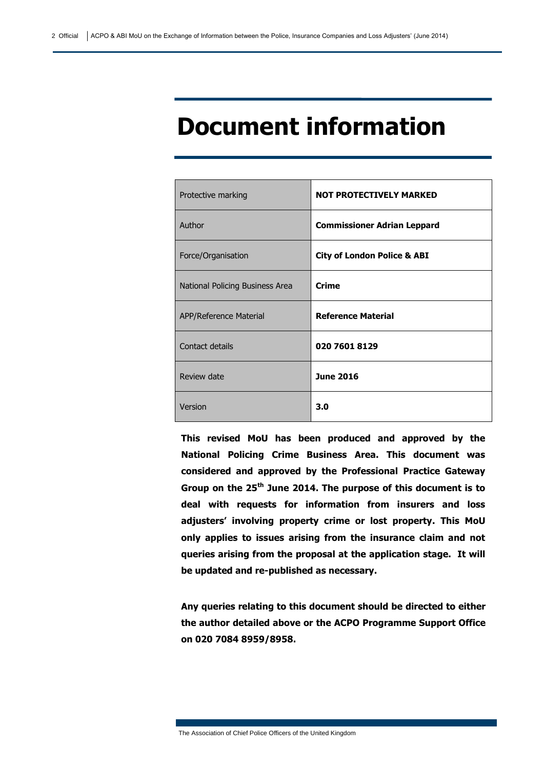# **Document information**

| Protective marking              | <b>NOT PROTECTIVELY MARKED</b>         |
|---------------------------------|----------------------------------------|
| Author                          | <b>Commissioner Adrian Leppard</b>     |
| Force/Organisation              | <b>City of London Police &amp; ABI</b> |
| National Policing Business Area | <b>Crime</b>                           |
| APP/Reference Material          | <b>Reference Material</b>              |
| Contact details                 | 020 7601 8129                          |
| Review date                     | <b>June 2016</b>                       |
| Version                         | 3.0                                    |

**This revised MoU has been produced and approved by the National Policing Crime Business Area. This document was considered and approved by the Professional Practice Gateway Group on the 25th June 2014. The purpose of this document is to deal with requests for information from insurers and loss adjusters' involving property crime or lost property. This MoU only applies to issues arising from the insurance claim and not queries arising from the proposal at the application stage. It will be updated and re-published as necessary.**

**Any queries relating to this document should be directed to either the author detailed above or the ACPO Programme Support Office on 020 7084 8959/8958.**

The Association of Chief Police Officers of the United Kingdom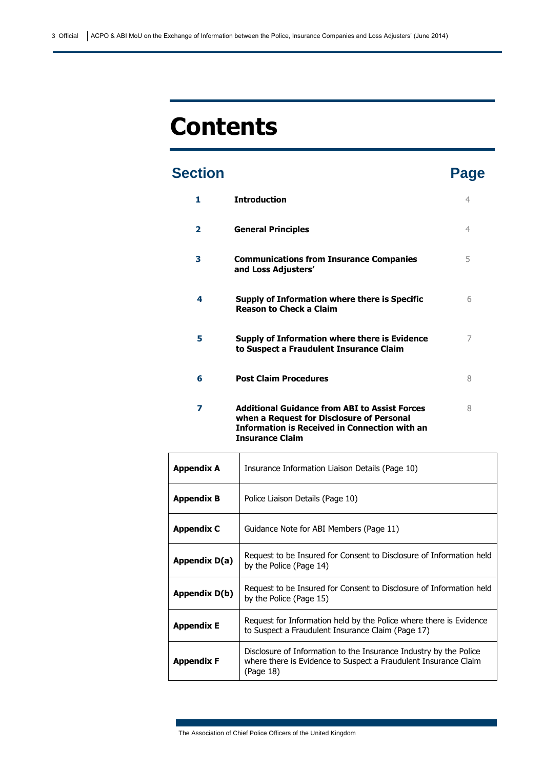# **Contents**

# **Section Page**

| 1. | <b>Introduction</b>                                                                                                                                       | 4 |
|----|-----------------------------------------------------------------------------------------------------------------------------------------------------------|---|
| 2  | <b>General Principles</b>                                                                                                                                 | 4 |
| 3  | <b>Communications from Insurance Companies</b><br>and Loss Adjusters'                                                                                     | 5 |
| 4  | Supply of Information where there is Specific<br><b>Reason to Check a Claim</b>                                                                           | 6 |
| 5  | Supply of Information where there is Evidence<br>to Suspect a Fraudulent Insurance Claim                                                                  | 7 |
| 6  | <b>Post Claim Procedures</b>                                                                                                                              | 8 |
| 7  | <b>Additional Guidance from ABI to Assist Forces</b><br>when a Request for Disclosure of Personal<br><b>Information is Received in Connection with an</b> | 8 |

| <b>Appendix A</b> | Insurance Information Liaison Details (Page 10)                                                                                                   |
|-------------------|---------------------------------------------------------------------------------------------------------------------------------------------------|
| <b>Appendix B</b> | Police Liaison Details (Page 10)                                                                                                                  |
| <b>Appendix C</b> | Guidance Note for ABI Members (Page 11)                                                                                                           |
| Appendix D(a)     | Request to be Insured for Consent to Disclosure of Information held<br>by the Police (Page 14)                                                    |
| Appendix D(b)     | Request to be Insured for Consent to Disclosure of Information held<br>by the Police (Page 15)                                                    |
| <b>Appendix E</b> | Request for Information held by the Police where there is Evidence<br>to Suspect a Fraudulent Insurance Claim (Page 17)                           |
| <b>Appendix F</b> | Disclosure of Information to the Insurance Industry by the Police<br>where there is Evidence to Suspect a Fraudulent Insurance Claim<br>(Page 18) |

The Association of Chief Police Officers of the United Kingdom

**Insurance Claim**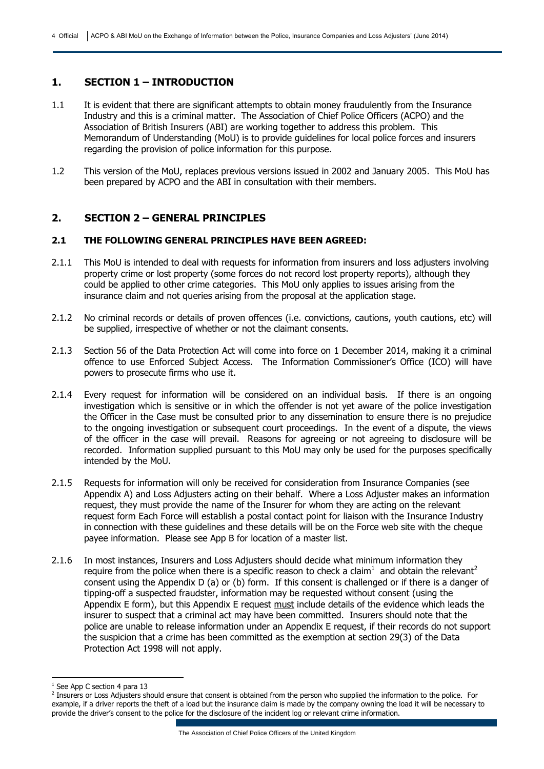#### **1. SECTION 1 – INTRODUCTION**

- 1.1 It is evident that there are significant attempts to obtain money fraudulently from the Insurance Industry and this is a criminal matter. The Association of Chief Police Officers (ACPO) and the Association of British Insurers (ABI) are working together to address this problem. This Memorandum of Understanding (MoU) is to provide guidelines for local police forces and insurers regarding the provision of police information for this purpose.
- 1.2 This version of the MoU, replaces previous versions issued in 2002 and January 2005. This MoU has been prepared by ACPO and the ABI in consultation with their members.

#### **2. SECTION 2 – GENERAL PRINCIPLES**

#### **2.1 THE FOLLOWING GENERAL PRINCIPLES HAVE BEEN AGREED:**

- 2.1.1 This MoU is intended to deal with requests for information from insurers and loss adjusters involving property crime or lost property (some forces do not record lost property reports), although they could be applied to other crime categories. This MoU only applies to issues arising from the insurance claim and not queries arising from the proposal at the application stage.
- 2.1.2 No criminal records or details of proven offences (i.e. convictions, cautions, youth cautions, etc) will be supplied, irrespective of whether or not the claimant consents.
- 2.1.3 Section 56 of the Data Protection Act will come into force on 1 December 2014, making it a criminal offence to use Enforced Subject Access. The Information Commissioner's Office (ICO) will have powers to prosecute firms who use it.
- 2.1.4 Every request for information will be considered on an individual basis. If there is an ongoing investigation which is sensitive or in which the offender is not yet aware of the police investigation the Officer in the Case must be consulted prior to any dissemination to ensure there is no prejudice to the ongoing investigation or subsequent court proceedings. In the event of a dispute, the views of the officer in the case will prevail. Reasons for agreeing or not agreeing to disclosure will be recorded. Information supplied pursuant to this MoU may only be used for the purposes specifically intended by the MoU.
- 2.1.5 Requests for information will only be received for consideration from Insurance Companies (see Appendix A) and Loss Adjusters acting on their behalf. Where a Loss Adjuster makes an information request, they must provide the name of the Insurer for whom they are acting on the relevant request form Each Force will establish a postal contact point for liaison with the Insurance Industry in connection with these guidelines and these details will be on the Force web site with the cheque payee information. Please see App B for location of a master list.
- 2.1.6 In most instances, Insurers and Loss Adjusters should decide what minimum information they require from the police when there is a specific reason to check a claim<sup>1</sup> and obtain the relevant<sup>2</sup> consent using the Appendix D (a) or (b) form. If this consent is challenged or if there is a danger of tipping-off a suspected fraudster, information may be requested without consent (using the Appendix E form), but this Appendix E request must include details of the evidence which leads the insurer to suspect that a criminal act may have been committed. Insurers should note that the police are unable to release information under an Appendix E request, if their records do not support the suspicion that a crime has been committed as the exemption at section 29(3) of the Data Protection Act 1998 will not apply.

-

<sup>&</sup>lt;sup>1</sup> See App C section 4 para 13

<sup>&</sup>lt;sup>2</sup> Insurers or Loss Adjusters should ensure that consent is obtained from the person who supplied the information to the police. For example, if a driver reports the theft of a load but the insurance claim is made by the company owning the load it will be necessary to provide the driver's consent to the police for the disclosure of the incident log or relevant crime information.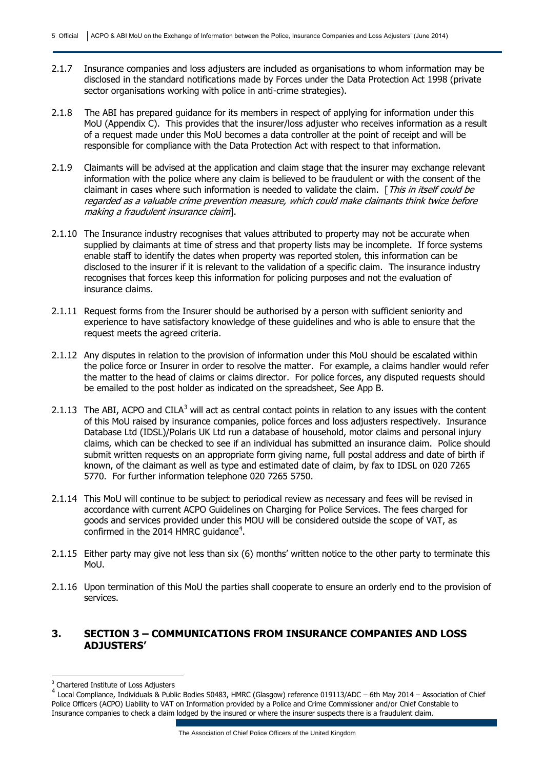- 2.1.7 Insurance companies and loss adjusters are included as organisations to whom information may be disclosed in the standard notifications made by Forces under the Data Protection Act 1998 (private sector organisations working with police in anti-crime strategies).
- 2.1.8 The ABI has prepared guidance for its members in respect of applying for information under this MoU (Appendix C). This provides that the insurer/loss adjuster who receives information as a result of a request made under this MoU becomes a data controller at the point of receipt and will be responsible for compliance with the Data Protection Act with respect to that information.
- 2.1.9 Claimants will be advised at the application and claim stage that the insurer may exchange relevant information with the police where any claim is believed to be fraudulent or with the consent of the claimant in cases where such information is needed to validate the claim. [This in itself could be regarded as a valuable crime prevention measure, which could make claimants think twice before making a fraudulent insurance claim].
- 2.1.10 The Insurance industry recognises that values attributed to property may not be accurate when supplied by claimants at time of stress and that property lists may be incomplete. If force systems enable staff to identify the dates when property was reported stolen, this information can be disclosed to the insurer if it is relevant to the validation of a specific claim. The insurance industry recognises that forces keep this information for policing purposes and not the evaluation of insurance claims.
- 2.1.11 Request forms from the Insurer should be authorised by a person with sufficient seniority and experience to have satisfactory knowledge of these guidelines and who is able to ensure that the request meets the agreed criteria.
- 2.1.12 Any disputes in relation to the provision of information under this MoU should be escalated within the police force or Insurer in order to resolve the matter. For example, a claims handler would refer the matter to the head of claims or claims director. For police forces, any disputed requests should be emailed to the post holder as indicated on the spreadsheet, See App B.
- 2.1.13 The ABI, ACPO and CILA $3$  will act as central contact points in relation to any issues with the content of this MoU raised by insurance companies, police forces and loss adjusters respectively. Insurance Database Ltd (IDSL)/Polaris UK Ltd run a database of household, motor claims and personal injury claims, which can be checked to see if an individual has submitted an insurance claim. Police should submit written requests on an appropriate form giving name, full postal address and date of birth if known, of the claimant as well as type and estimated date of claim, by fax to IDSL on 020 7265 5770. For further information telephone 020 7265 5750.
- 2.1.14 This MoU will continue to be subject to periodical review as necessary and fees will be revised in accordance with current ACPO Guidelines on Charging for Police Services. The fees charged for goods and services provided under this MOU will be considered outside the scope of VAT, as confirmed in the 2014 HMRC guidance<sup>4</sup>.
- 2.1.15 Either party may give not less than six (6) months' written notice to the other party to terminate this MoU.
- 2.1.16 Upon termination of this MoU the parties shall cooperate to ensure an orderly end to the provision of services.

#### **3. SECTION 3 – COMMUNICATIONS FROM INSURANCE COMPANIES AND LOSS ADJUSTERS'**

-

<sup>&</sup>lt;sup>3</sup> Chartered Institute of Loss Adjusters

<sup>4</sup> Local Compliance, Individuals & Public Bodies S0483, HMRC (Glasgow) reference 019113/ADC – 6th May 2014 – Association of Chief Police Officers (ACPO) Liability to VAT on Information provided by a Police and Crime Commissioner and/or Chief Constable to Insurance companies to check a claim lodged by the insured or where the insurer suspects there is a fraudulent claim.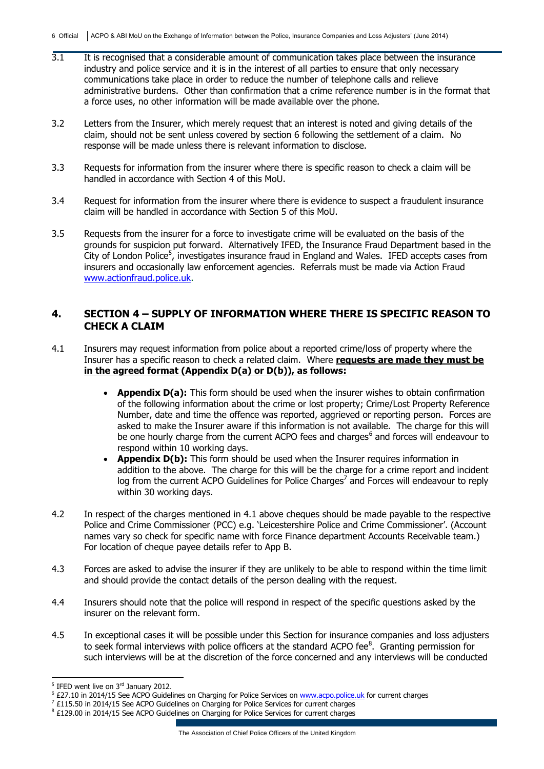- 3.1 It is recognised that a considerable amount of communication takes place between the insurance industry and police service and it is in the interest of all parties to ensure that only necessary communications take place in order to reduce the number of telephone calls and relieve administrative burdens. Other than confirmation that a crime reference number is in the format that a force uses, no other information will be made available over the phone.
- 3.2 Letters from the Insurer, which merely request that an interest is noted and giving details of the claim, should not be sent unless covered by section 6 following the settlement of a claim. No response will be made unless there is relevant information to disclose.
- 3.3 Requests for information from the insurer where there is specific reason to check a claim will be handled in accordance with Section 4 of this MoU.
- 3.4 Request for information from the insurer where there is evidence to suspect a fraudulent insurance claim will be handled in accordance with Section 5 of this MoU.
- 3.5 Requests from the insurer for a force to investigate crime will be evaluated on the basis of the grounds for suspicion put forward. Alternatively IFED, the Insurance Fraud Department based in the City of London Police<sup>5</sup>, investigates insurance fraud in England and Wales. IFED accepts cases from insurers and occasionally law enforcement agencies. Referrals must be made via Action Fraud [www.actionfraud.police.uk.](http://www.actionfraud.police.uk/)

#### **4. SECTION 4 – SUPPLY OF INFORMATION WHERE THERE IS SPECIFIC REASON TO CHECK A CLAIM**

- 4.1 Insurers may request information from police about a reported crime/loss of property where the Insurer has a specific reason to check a related claim. Where **requests are made they must be in the agreed format (Appendix D(a) or D(b)), as follows:**
	- **Appendix D(a):** This form should be used when the insurer wishes to obtain confirmation of the following information about the crime or lost property; Crime/Lost Property Reference Number, date and time the offence was reported, aggrieved or reporting person. Forces are asked to make the Insurer aware if this information is not available. The charge for this will be one hourly charge from the current ACPO fees and charges<sup>6</sup> and forces will endeavour to respond within 10 working days.
	- **Appendix D(b):** This form should be used when the Insurer requires information in addition to the above. The charge for this will be the charge for a crime report and incident log from the current ACPO Guidelines for Police Charges<sup>7</sup> and Forces will endeavour to reply within 30 working days.
- 4.2 In respect of the charges mentioned in 4.1 above cheques should be made payable to the respective Police and Crime Commissioner (PCC) e.g. 'Leicestershire Police and Crime Commissioner'. (Account names vary so check for specific name with force Finance department Accounts Receivable team.) For location of cheque payee details refer to App B.
- 4.3 Forces are asked to advise the insurer if they are unlikely to be able to respond within the time limit and should provide the contact details of the person dealing with the request.
- 4.4 Insurers should note that the police will respond in respect of the specific questions asked by the insurer on the relevant form.
- 4.5 In exceptional cases it will be possible under this Section for insurance companies and loss adjusters to seek formal interviews with police officers at the standard ACPO fee ${}^{8}$ . Granting permission for such interviews will be at the discretion of the force concerned and any interviews will be conducted

 5 IFED went live on 3rd January 2012.

<sup>&</sup>lt;sup>6</sup> £27.10 in 2014/15 See ACPO Guidelines on Charging for Police Services on [www.acpo.police.uk](http://www.acpo.police.uk/) for current charges

 $7$  £115.50 in 2014/15 See ACPO Guidelines on Charging for Police Services for current charges

<sup>&</sup>lt;sup>8</sup> £129.00 in 2014/15 See ACPO Guidelines on Charging for Police Services for current charges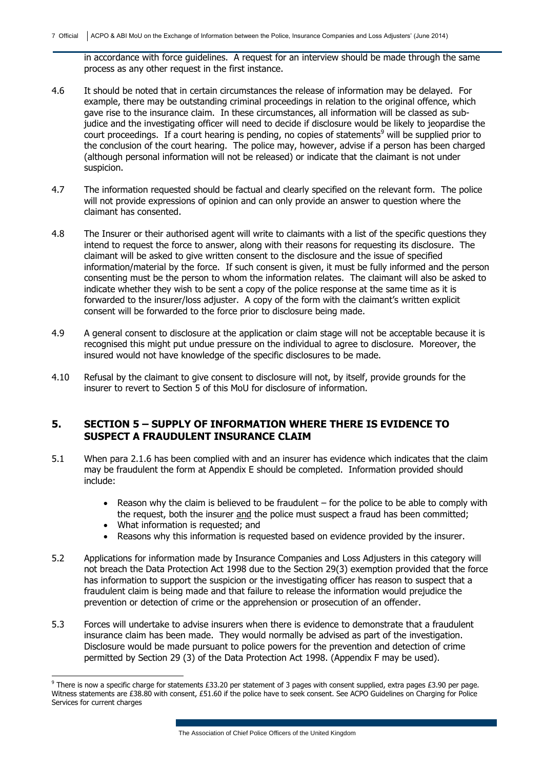in accordance with force guidelines. A request for an interview should be made through the same process as any other request in the first instance.

- 4.6 It should be noted that in certain circumstances the release of information may be delayed. For example, there may be outstanding criminal proceedings in relation to the original offence, which gave rise to the insurance claim. In these circumstances, all information will be classed as subjudice and the investigating officer will need to decide if disclosure would be likely to jeopardise the court proceedings. If a court hearing is pending, no copies of statements<sup>9</sup> will be supplied prior to the conclusion of the court hearing. The police may, however, advise if a person has been charged (although personal information will not be released) or indicate that the claimant is not under suspicion.
- 4.7 The information requested should be factual and clearly specified on the relevant form. The police will not provide expressions of opinion and can only provide an answer to question where the claimant has consented.
- 4.8 The Insurer or their authorised agent will write to claimants with a list of the specific questions they intend to request the force to answer, along with their reasons for requesting its disclosure. The claimant will be asked to give written consent to the disclosure and the issue of specified information/material by the force. If such consent is given, it must be fully informed and the person consenting must be the person to whom the information relates. The claimant will also be asked to indicate whether they wish to be sent a copy of the police response at the same time as it is forwarded to the insurer/loss adjuster. A copy of the form with the claimant's written explicit consent will be forwarded to the force prior to disclosure being made.
- 4.9 A general consent to disclosure at the application or claim stage will not be acceptable because it is recognised this might put undue pressure on the individual to agree to disclosure. Moreover, the insured would not have knowledge of the specific disclosures to be made.
- 4.10 Refusal by the claimant to give consent to disclosure will not, by itself, provide grounds for the insurer to revert to Section 5 of this MoU for disclosure of information.

#### **5. SECTION 5 – SUPPLY OF INFORMATION WHERE THERE IS EVIDENCE TO SUSPECT A FRAUDULENT INSURANCE CLAIM**

- 5.1 When para 2.1.6 has been complied with and an insurer has evidence which indicates that the claim may be fraudulent the form at Appendix E should be completed. Information provided should include:
	- Reason why the claim is believed to be fraudulent  $-$  for the police to be able to comply with the request, both the insurer and the police must suspect a fraud has been committed;
	- What information is requested; and

-

- Reasons why this information is requested based on evidence provided by the insurer.
- 5.2 Applications for information made by Insurance Companies and Loss Adjusters in this category will not breach the Data Protection Act 1998 due to the Section 29(3) exemption provided that the force has information to support the suspicion or the investigating officer has reason to suspect that a fraudulent claim is being made and that failure to release the information would prejudice the prevention or detection of crime or the apprehension or prosecution of an offender.
- 5.3 Forces will undertake to advise insurers when there is evidence to demonstrate that a fraudulent insurance claim has been made. They would normally be advised as part of the investigation. Disclosure would be made pursuant to police powers for the prevention and detection of crime permitted by Section 29 (3) of the Data Protection Act 1998. (Appendix F may be used).

<sup>9</sup> There is now a specific charge for statements £33.20 per statement of 3 pages with consent supplied, extra pages £3.90 per page. Witness statements are £38.80 with consent, £51.60 if the police have to seek consent. See ACPO Guidelines on Charging for Police Services for current charges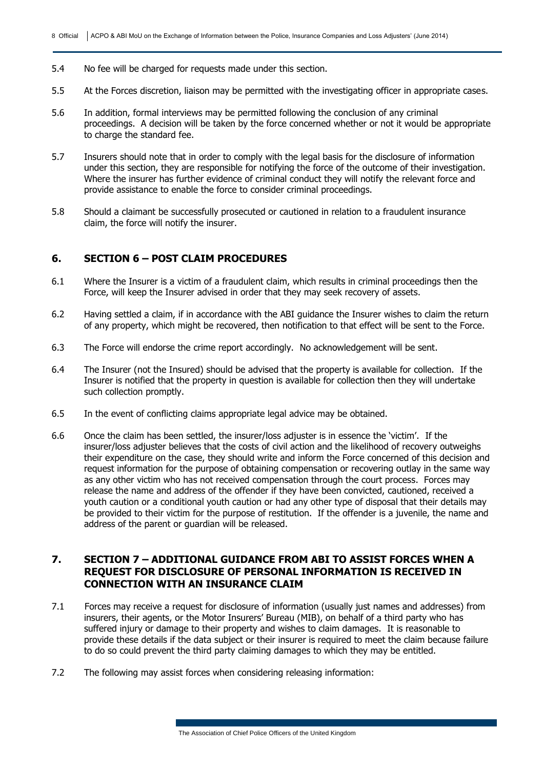- 5.4 No fee will be charged for requests made under this section.
- 5.5 At the Forces discretion, liaison may be permitted with the investigating officer in appropriate cases.
- 5.6 In addition, formal interviews may be permitted following the conclusion of any criminal proceedings. A decision will be taken by the force concerned whether or not it would be appropriate to charge the standard fee.
- 5.7 Insurers should note that in order to comply with the legal basis for the disclosure of information under this section, they are responsible for notifying the force of the outcome of their investigation. Where the insurer has further evidence of criminal conduct they will notify the relevant force and provide assistance to enable the force to consider criminal proceedings.
- 5.8 Should a claimant be successfully prosecuted or cautioned in relation to a fraudulent insurance claim, the force will notify the insurer.

#### **6. SECTION 6 – POST CLAIM PROCEDURES**

- 6.1 Where the Insurer is a victim of a fraudulent claim, which results in criminal proceedings then the Force, will keep the Insurer advised in order that they may seek recovery of assets.
- 6.2 Having settled a claim, if in accordance with the ABI guidance the Insurer wishes to claim the return of any property, which might be recovered, then notification to that effect will be sent to the Force.
- 6.3 The Force will endorse the crime report accordingly. No acknowledgement will be sent.
- 6.4 The Insurer (not the Insured) should be advised that the property is available for collection. If the Insurer is notified that the property in question is available for collection then they will undertake such collection promptly.
- 6.5 In the event of conflicting claims appropriate legal advice may be obtained.
- 6.6 Once the claim has been settled, the insurer/loss adjuster is in essence the 'victim'. If the insurer/loss adjuster believes that the costs of civil action and the likelihood of recovery outweighs their expenditure on the case, they should write and inform the Force concerned of this decision and request information for the purpose of obtaining compensation or recovering outlay in the same way as any other victim who has not received compensation through the court process. Forces may release the name and address of the offender if they have been convicted, cautioned, received a youth caution or a conditional youth caution or had any other type of disposal that their details may be provided to their victim for the purpose of restitution. If the offender is a juvenile, the name and address of the parent or guardian will be released.

#### **7. SECTION 7 – ADDITIONAL GUIDANCE FROM ABI TO ASSIST FORCES WHEN A REQUEST FOR DISCLOSURE OF PERSONAL INFORMATION IS RECEIVED IN CONNECTION WITH AN INSURANCE CLAIM**

- 7.1 Forces may receive a request for disclosure of information (usually just names and addresses) from insurers, their agents, or the Motor Insurers' Bureau (MIB), on behalf of a third party who has suffered injury or damage to their property and wishes to claim damages. It is reasonable to provide these details if the data subject or their insurer is required to meet the claim because failure to do so could prevent the third party claiming damages to which they may be entitled.
- 7.2 The following may assist forces when considering releasing information: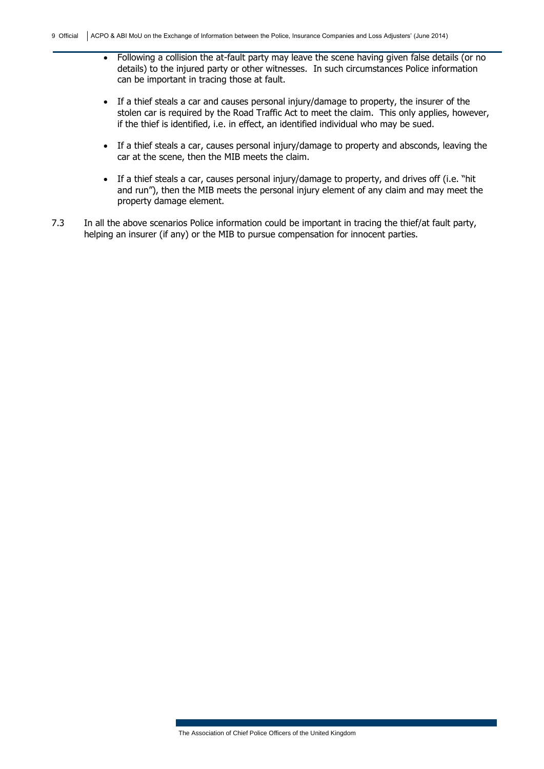- Following a collision the at-fault party may leave the scene having given false details (or no details) to the injured party or other witnesses. In such circumstances Police information can be important in tracing those at fault.
- If a thief steals a car and causes personal injury/damage to property, the insurer of the stolen car is required by the Road Traffic Act to meet the claim. This only applies, however, if the thief is identified, i.e. in effect, an identified individual who may be sued.
- If a thief steals a car, causes personal injury/damage to property and absconds, leaving the car at the scene, then the MIB meets the claim.
- If a thief steals a car, causes personal injury/damage to property, and drives off (i.e. "hit and run"), then the MIB meets the personal injury element of any claim and may meet the property damage element.
- 7.3 In all the above scenarios Police information could be important in tracing the thief/at fault party, helping an insurer (if any) or the MIB to pursue compensation for innocent parties.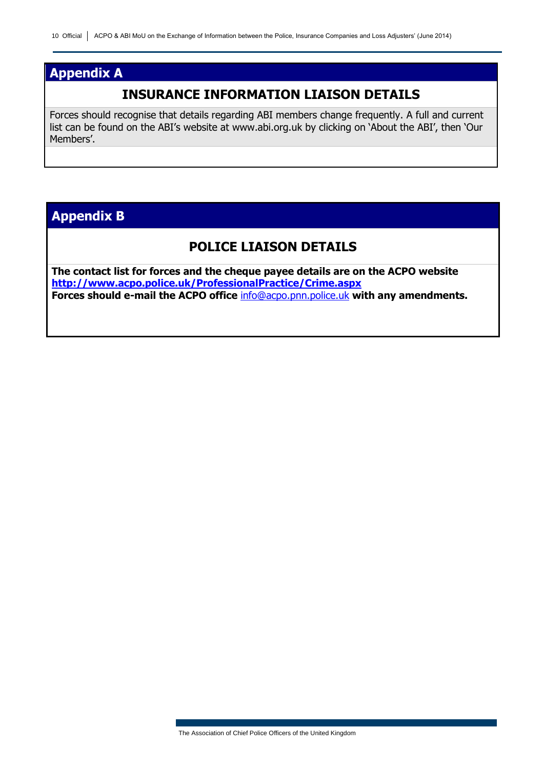## **Appendix A**

## **INSURANCE INFORMATION LIAISON DETAILS**

Forces should recognise that details regarding ABI members change frequently. A full and current list can be found on the ABI's website at www.abi.org.uk by clicking on 'About the ABI', then 'Our Members'.

## **Appendix B**

### **POLICE LIAISON DETAILS**

**The contact list for forces and the cheque payee details are on the ACPO website <http://www.acpo.police.uk/ProfessionalPractice/Crime.aspx> Forces should e-mail the ACPO office** [info@acpo.pnn.police.uk](mailto:info@acpo.pnn.police.uk) **with any amendments.**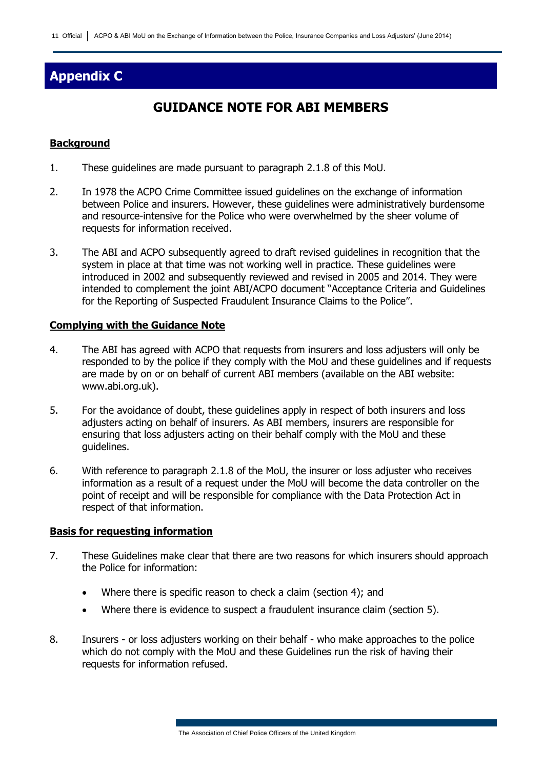# **Appendix C**

# **GUIDANCE NOTE FOR ABI MEMBERS**

#### **Background**

- 1. These guidelines are made pursuant to paragraph 2.1.8 of this MoU.
- 2. In 1978 the ACPO Crime Committee issued guidelines on the exchange of information between Police and insurers. However, these guidelines were administratively burdensome and resource-intensive for the Police who were overwhelmed by the sheer volume of requests for information received.
- 3. The ABI and ACPO subsequently agreed to draft revised guidelines in recognition that the system in place at that time was not working well in practice. These guidelines were introduced in 2002 and subsequently reviewed and revised in 2005 and 2014. They were intended to complement the joint ABI/ACPO document "Acceptance Criteria and Guidelines for the Reporting of Suspected Fraudulent Insurance Claims to the Police".

#### **Complying with the Guidance Note**

- 4. The ABI has agreed with ACPO that requests from insurers and loss adjusters will only be responded to by the police if they comply with the MoU and these guidelines and if requests are made by on or on behalf of current ABI members (available on the ABI website: www.abi.org.uk).
- 5. For the avoidance of doubt, these guidelines apply in respect of both insurers and loss adjusters acting on behalf of insurers. As ABI members, insurers are responsible for ensuring that loss adjusters acting on their behalf comply with the MoU and these guidelines.
- 6. With reference to paragraph 2.1.8 of the MoU, the insurer or loss adjuster who receives information as a result of a request under the MoU will become the data controller on the point of receipt and will be responsible for compliance with the Data Protection Act in respect of that information.

#### **Basis for requesting information**

- 7. These Guidelines make clear that there are two reasons for which insurers should approach the Police for information:
	- Where there is specific reason to check a claim (section 4); and
	- Where there is evidence to suspect a fraudulent insurance claim (section 5).
- 8. Insurers or loss adjusters working on their behalf who make approaches to the police which do not comply with the MoU and these Guidelines run the risk of having their requests for information refused.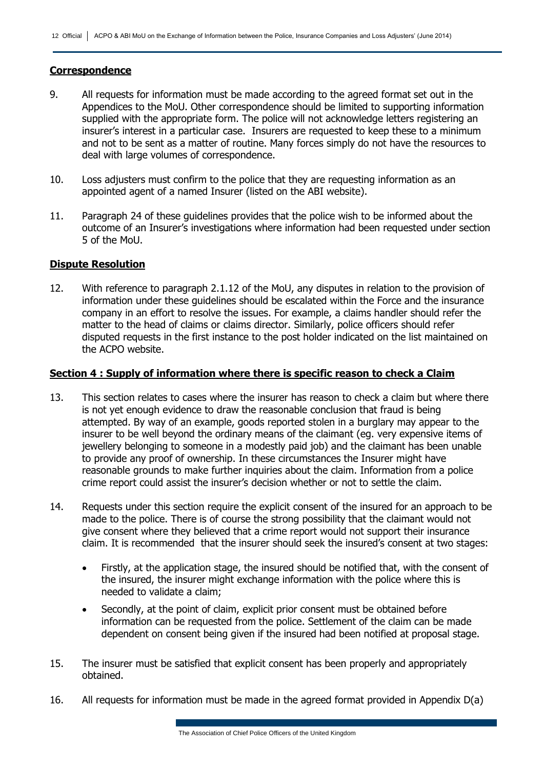#### **Correspondence**

- 9. All requests for information must be made according to the agreed format set out in the Appendices to the MoU. Other correspondence should be limited to supporting information supplied with the appropriate form. The police will not acknowledge letters registering an insurer's interest in a particular case. Insurers are requested to keep these to a minimum and not to be sent as a matter of routine. Many forces simply do not have the resources to deal with large volumes of correspondence.
- 10. Loss adjusters must confirm to the police that they are requesting information as an appointed agent of a named Insurer (listed on the ABI website).
- 11. Paragraph 24 of these guidelines provides that the police wish to be informed about the outcome of an Insurer's investigations where information had been requested under section 5 of the MoU.

#### **Dispute Resolution**

12. With reference to paragraph 2.1.12 of the MoU, any disputes in relation to the provision of information under these guidelines should be escalated within the Force and the insurance company in an effort to resolve the issues. For example, a claims handler should refer the matter to the head of claims or claims director. Similarly, police officers should refer disputed requests in the first instance to the post holder indicated on the list maintained on the ACPO website.

#### **Section 4 : Supply of information where there is specific reason to check a Claim**

- 13. This section relates to cases where the insurer has reason to check a claim but where there is not yet enough evidence to draw the reasonable conclusion that fraud is being attempted. By way of an example, goods reported stolen in a burglary may appear to the insurer to be well beyond the ordinary means of the claimant (eg. very expensive items of jewellery belonging to someone in a modestly paid job) and the claimant has been unable to provide any proof of ownership. In these circumstances the Insurer might have reasonable grounds to make further inquiries about the claim. Information from a police crime report could assist the insurer's decision whether or not to settle the claim.
- 14. Requests under this section require the explicit consent of the insured for an approach to be made to the police. There is of course the strong possibility that the claimant would not give consent where they believed that a crime report would not support their insurance claim. It is recommended that the insurer should seek the insured's consent at two stages:
	- Firstly, at the application stage, the insured should be notified that, with the consent of the insured, the insurer might exchange information with the police where this is needed to validate a claim;
	- Secondly, at the point of claim, explicit prior consent must be obtained before information can be requested from the police. Settlement of the claim can be made dependent on consent being given if the insured had been notified at proposal stage.
- 15. The insurer must be satisfied that explicit consent has been properly and appropriately obtained.
- 16. All requests for information must be made in the agreed format provided in Appendix D(a)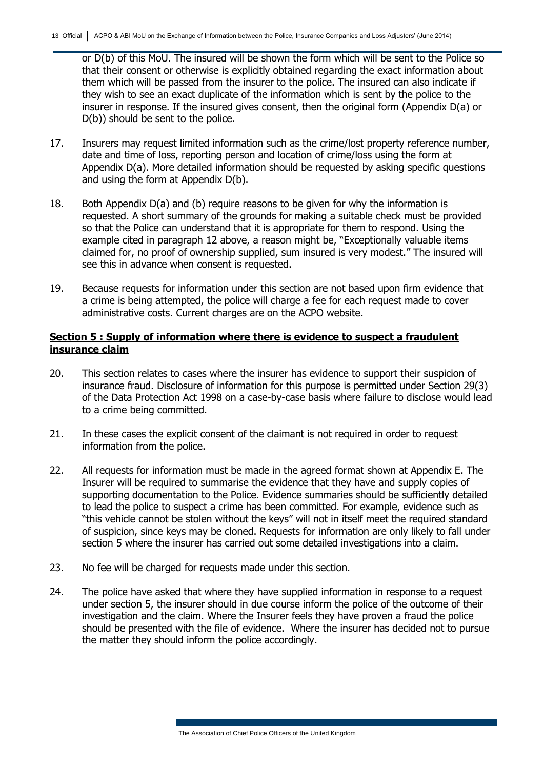or D(b) of this MoU. The insured will be shown the form which will be sent to the Police so that their consent or otherwise is explicitly obtained regarding the exact information about them which will be passed from the insurer to the police. The insured can also indicate if they wish to see an exact duplicate of the information which is sent by the police to the insurer in response. If the insured gives consent, then the original form (Appendix D(a) or D(b)) should be sent to the police.

- 17. Insurers may request limited information such as the crime/lost property reference number, date and time of loss, reporting person and location of crime/loss using the form at Appendix D(a). More detailed information should be requested by asking specific questions and using the form at Appendix D(b).
- 18. Both Appendix D(a) and (b) require reasons to be given for why the information is requested. A short summary of the grounds for making a suitable check must be provided so that the Police can understand that it is appropriate for them to respond. Using the example cited in paragraph 12 above, a reason might be, "Exceptionally valuable items claimed for, no proof of ownership supplied, sum insured is very modest." The insured will see this in advance when consent is requested.
- 19. Because requests for information under this section are not based upon firm evidence that a crime is being attempted, the police will charge a fee for each request made to cover administrative costs. Current charges are on the ACPO website.

#### **Section 5 : Supply of information where there is evidence to suspect a fraudulent insurance claim**

- 20. This section relates to cases where the insurer has evidence to support their suspicion of insurance fraud. Disclosure of information for this purpose is permitted under Section 29(3) of the Data Protection Act 1998 on a case-by-case basis where failure to disclose would lead to a crime being committed.
- 21. In these cases the explicit consent of the claimant is not required in order to request information from the police.
- 22. All requests for information must be made in the agreed format shown at Appendix E. The Insurer will be required to summarise the evidence that they have and supply copies of supporting documentation to the Police. Evidence summaries should be sufficiently detailed to lead the police to suspect a crime has been committed. For example, evidence such as "this vehicle cannot be stolen without the keys" will not in itself meet the required standard of suspicion, since keys may be cloned. Requests for information are only likely to fall under section 5 where the insurer has carried out some detailed investigations into a claim.
- 23. No fee will be charged for requests made under this section.
- 24. The police have asked that where they have supplied information in response to a request under section 5, the insurer should in due course inform the police of the outcome of their investigation and the claim. Where the Insurer feels they have proven a fraud the police should be presented with the file of evidence. Where the insurer has decided not to pursue the matter they should inform the police accordingly.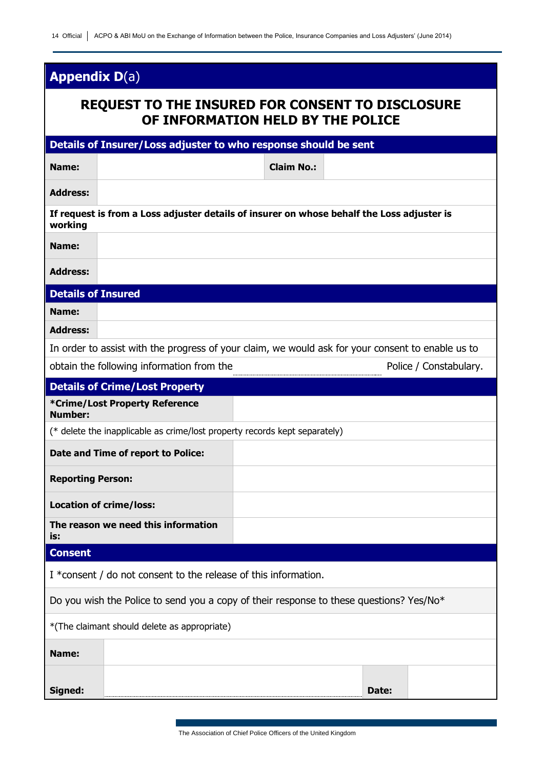# **Appendix D**(a)

# **REQUEST TO THE INSURED FOR CONSENT TO DISCLOSURE OF INFORMATION HELD BY THE POLICE**

| Details of Insurer/Loss adjuster to who response should be sent                         |                                                                                                   |                   |       |                        |
|-----------------------------------------------------------------------------------------|---------------------------------------------------------------------------------------------------|-------------------|-------|------------------------|
| Name:                                                                                   |                                                                                                   | <b>Claim No.:</b> |       |                        |
| <b>Address:</b>                                                                         |                                                                                                   |                   |       |                        |
| working                                                                                 | If request is from a Loss adjuster details of insurer on whose behalf the Loss adjuster is        |                   |       |                        |
| Name:                                                                                   |                                                                                                   |                   |       |                        |
| <b>Address:</b>                                                                         |                                                                                                   |                   |       |                        |
| <b>Details of Insured</b>                                                               |                                                                                                   |                   |       |                        |
| Name:                                                                                   |                                                                                                   |                   |       |                        |
| <b>Address:</b>                                                                         |                                                                                                   |                   |       |                        |
|                                                                                         | In order to assist with the progress of your claim, we would ask for your consent to enable us to |                   |       |                        |
|                                                                                         | obtain the following information from the                                                         |                   |       | Police / Constabulary. |
|                                                                                         | <b>Details of Crime/Lost Property</b>                                                             |                   |       |                        |
| <b>Number:</b>                                                                          | *Crime/Lost Property Reference                                                                    |                   |       |                        |
|                                                                                         | (* delete the inapplicable as crime/lost property records kept separately)                        |                   |       |                        |
|                                                                                         | Date and Time of report to Police:                                                                |                   |       |                        |
| <b>Reporting Person:</b>                                                                |                                                                                                   |                   |       |                        |
| <b>Location of crime/loss:</b>                                                          |                                                                                                   |                   |       |                        |
| is:                                                                                     | The reason we need this information                                                               |                   |       |                        |
| <b>Consent</b>                                                                          |                                                                                                   |                   |       |                        |
| I *consent / do not consent to the release of this information.                         |                                                                                                   |                   |       |                        |
| Do you wish the Police to send you a copy of their response to these questions? Yes/No* |                                                                                                   |                   |       |                        |
| *(The claimant should delete as appropriate)                                            |                                                                                                   |                   |       |                        |
| Name:                                                                                   |                                                                                                   |                   |       |                        |
| Signed:                                                                                 |                                                                                                   |                   | Date: |                        |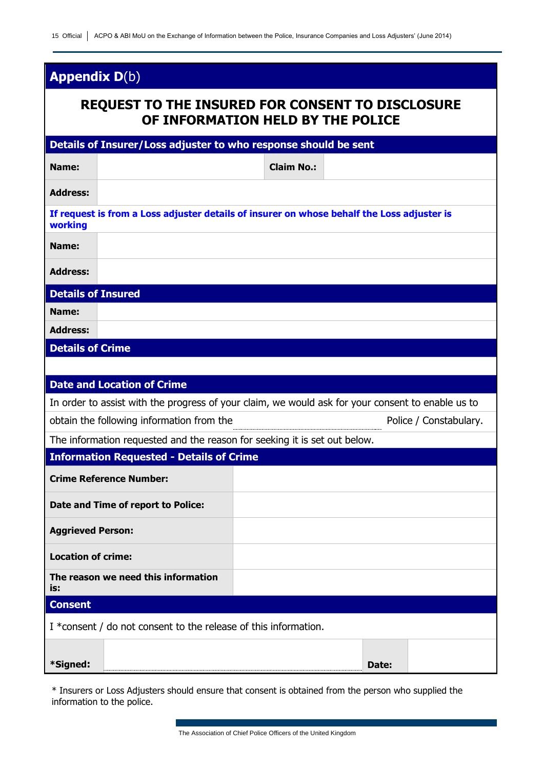# **Appendix D**(b)

# **REQUEST TO THE INSURED FOR CONSENT TO DISCLOSURE OF INFORMATION HELD BY THE POLICE**

| Details of Insurer/Loss adjuster to who response should be sent |                                                                                                   |                   |       |                        |
|-----------------------------------------------------------------|---------------------------------------------------------------------------------------------------|-------------------|-------|------------------------|
| Name:                                                           |                                                                                                   | <b>Claim No.:</b> |       |                        |
| <b>Address:</b>                                                 |                                                                                                   |                   |       |                        |
| working                                                         | If request is from a Loss adjuster details of insurer on whose behalf the Loss adjuster is        |                   |       |                        |
| Name:                                                           |                                                                                                   |                   |       |                        |
| <b>Address:</b>                                                 |                                                                                                   |                   |       |                        |
| <b>Details of Insured</b>                                       |                                                                                                   |                   |       |                        |
| Name:                                                           |                                                                                                   |                   |       |                        |
| <b>Address:</b>                                                 |                                                                                                   |                   |       |                        |
| <b>Details of Crime</b>                                         |                                                                                                   |                   |       |                        |
|                                                                 |                                                                                                   |                   |       |                        |
|                                                                 | <b>Date and Location of Crime</b>                                                                 |                   |       |                        |
|                                                                 | In order to assist with the progress of your claim, we would ask for your consent to enable us to |                   |       |                        |
|                                                                 | obtain the following information from the                                                         |                   |       | Police / Constabulary. |
|                                                                 | The information requested and the reason for seeking it is set out below.                         |                   |       |                        |
|                                                                 | <b>Information Requested - Details of Crime</b>                                                   |                   |       |                        |
|                                                                 | <b>Crime Reference Number:</b>                                                                    |                   |       |                        |
|                                                                 | Date and Time of report to Police:                                                                |                   |       |                        |
| <b>Aggrieved Person:</b>                                        |                                                                                                   |                   |       |                        |
| <b>Location of crime:</b>                                       |                                                                                                   |                   |       |                        |
| is:                                                             | The reason we need this information                                                               |                   |       |                        |
| <b>Consent</b>                                                  |                                                                                                   |                   |       |                        |
| I *consent / do not consent to the release of this information. |                                                                                                   |                   |       |                        |
| *Signed:                                                        |                                                                                                   |                   | Date: |                        |

\* Insurers or Loss Adjusters should ensure that consent is obtained from the person who supplied the information to the police.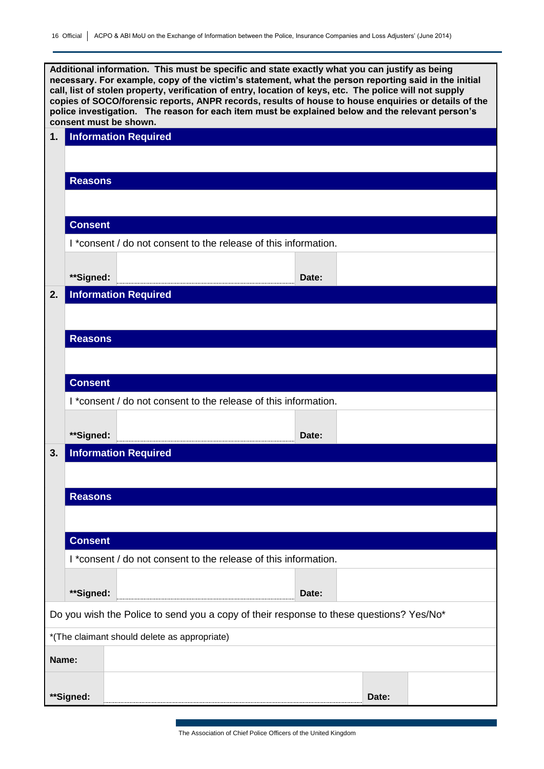**Additional information. This must be specific and state exactly what you can justify as being necessary. For example, copy of the victim's statement, what the person reporting said in the initial call, list of stolen property, verification of entry, location of keys, etc. The police will not supply copies of SOCO/forensic reports, ANPR records, results of house to house enquiries or details of the police investigation. The reason for each item must be explained below and the relevant person's consent must be shown.**

| 1.    |                | consent must be snown.<br><b>Information Required</b>                                   |       |       |  |
|-------|----------------|-----------------------------------------------------------------------------------------|-------|-------|--|
|       |                |                                                                                         |       |       |  |
|       |                |                                                                                         |       |       |  |
|       | <b>Reasons</b> |                                                                                         |       |       |  |
|       |                |                                                                                         |       |       |  |
|       | <b>Consent</b> |                                                                                         |       |       |  |
|       |                | I *consent / do not consent to the release of this information.                         |       |       |  |
|       |                |                                                                                         |       |       |  |
|       | **Signed:      |                                                                                         | Date: |       |  |
| 2.    |                | <b>Information Required</b>                                                             |       |       |  |
|       |                |                                                                                         |       |       |  |
|       | <b>Reasons</b> |                                                                                         |       |       |  |
|       |                |                                                                                         |       |       |  |
|       | <b>Consent</b> |                                                                                         |       |       |  |
|       |                | I *consent / do not consent to the release of this information.                         |       |       |  |
|       |                |                                                                                         |       |       |  |
|       | **Signed:      |                                                                                         | Date: |       |  |
| 3.    |                | <b>Information Required</b>                                                             |       |       |  |
|       |                |                                                                                         |       |       |  |
|       | <b>Reasons</b> |                                                                                         |       |       |  |
|       |                |                                                                                         |       |       |  |
|       |                |                                                                                         |       |       |  |
|       | <b>Consent</b> |                                                                                         |       |       |  |
|       |                | I *consent / do not consent to the release of this information.                         |       |       |  |
|       | **Signed:      |                                                                                         | Date: |       |  |
|       |                | Do you wish the Police to send you a copy of their response to these questions? Yes/No* |       |       |  |
|       |                | *(The claimant should delete as appropriate)                                            |       |       |  |
| Name: |                |                                                                                         |       |       |  |
|       |                |                                                                                         |       |       |  |
|       | **Signed:      |                                                                                         |       | Date: |  |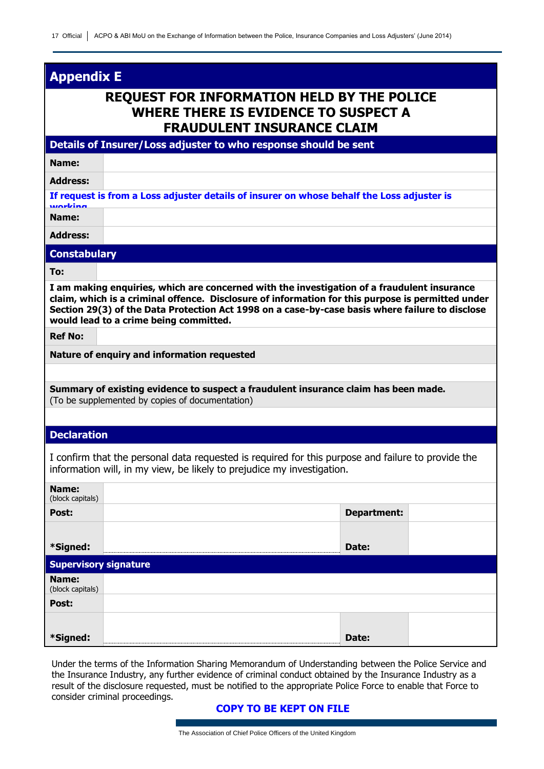### **Appendix E**

## **REQUEST FOR INFORMATION HELD BY THE POLICE WHERE THERE IS EVIDENCE TO SUSPECT A FRAUDULENT INSURANCE CLAIM**

#### **Details of Insurer/Loss adjuster to who response should be sent**

**Name:**

**Address:**

**If request is from a Loss adjuster details of insurer on whose behalf the Loss adjuster is working**

**Name:**

**Address:**

#### **Constabulary**

**To:**

**I am making enquiries, which are concerned with the investigation of a fraudulent insurance claim, which is a criminal offence. Disclosure of information for this purpose is permitted under Section 29(3) of the Data Protection Act 1998 on a case-by-case basis where failure to disclose would lead to a crime being committed.**

**Ref No:**

**Nature of enquiry and information requested**

**Summary of existing evidence to suspect a fraudulent insurance claim has been made.**  (To be supplemented by copies of documentation)

#### **Declaration**

I confirm that the personal data requested is required for this purpose and failure to provide the information will, in my view, be likely to prejudice my investigation.

| Name:<br>(block capitals)    |                    |  |
|------------------------------|--------------------|--|
| Post:                        | <b>Department:</b> |  |
|                              |                    |  |
| *Signed:                     | Date:              |  |
| <b>Supervisory signature</b> |                    |  |
| Name:<br>(block capitals)    |                    |  |
| Post:                        |                    |  |
|                              |                    |  |
| *Signed:                     | Date:              |  |

Under the terms of the Information Sharing Memorandum of Understanding between the Police Service and the Insurance Industry, any further evidence of criminal conduct obtained by the Insurance Industry as a result of the disclosure requested, must be notified to the appropriate Police Force to enable that Force to consider criminal proceedings.

#### **COPY TO BE KEPT ON FILE**